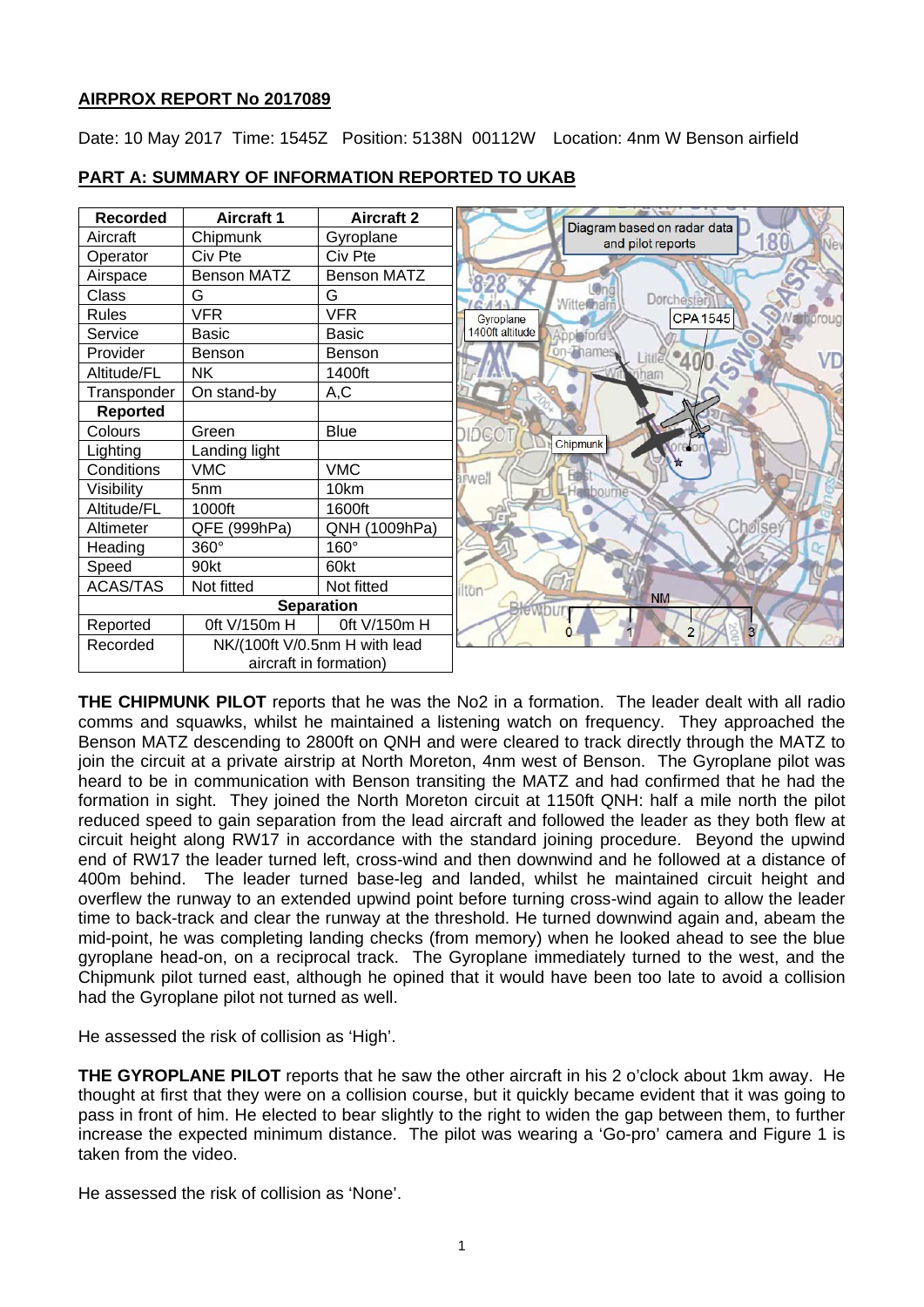## **AIRPROX REPORT No 2017089**

Date: 10 May 2017 Time: 1545Z Position: 5138N 00112W Location: 4nm W Benson airfield



## **PART A: SUMMARY OF INFORMATION REPORTED TO UKAB**

**THE CHIPMUNK PILOT** reports that he was the No2 in a formation. The leader dealt with all radio comms and squawks, whilst he maintained a listening watch on frequency. They approached the Benson MATZ descending to 2800ft on QNH and were cleared to track directly through the MATZ to join the circuit at a private airstrip at North Moreton, 4nm west of Benson. The Gyroplane pilot was heard to be in communication with Benson transiting the MATZ and had confirmed that he had the formation in sight. They joined the North Moreton circuit at 1150ft QNH: half a mile north the pilot reduced speed to gain separation from the lead aircraft and followed the leader as they both flew at circuit height along RW17 in accordance with the standard joining procedure. Beyond the upwind end of RW17 the leader turned left, cross-wind and then downwind and he followed at a distance of 400m behind. The leader turned base-leg and landed, whilst he maintained circuit height and overflew the runway to an extended upwind point before turning cross-wind again to allow the leader time to back-track and clear the runway at the threshold. He turned downwind again and, abeam the mid-point, he was completing landing checks (from memory) when he looked ahead to see the blue gyroplane head-on, on a reciprocal track. The Gyroplane immediately turned to the west, and the Chipmunk pilot turned east, although he opined that it would have been too late to avoid a collision had the Gyroplane pilot not turned as well.

He assessed the risk of collision as 'High'.

**THE GYROPLANE PILOT** reports that he saw the other aircraft in his 2 o'clock about 1km away. He thought at first that they were on a collision course, but it quickly became evident that it was going to pass in front of him. He elected to bear slightly to the right to widen the gap between them, to further increase the expected minimum distance. The pilot was wearing a 'Go-pro' camera and Figure 1 is taken from the video.

He assessed the risk of collision as 'None'.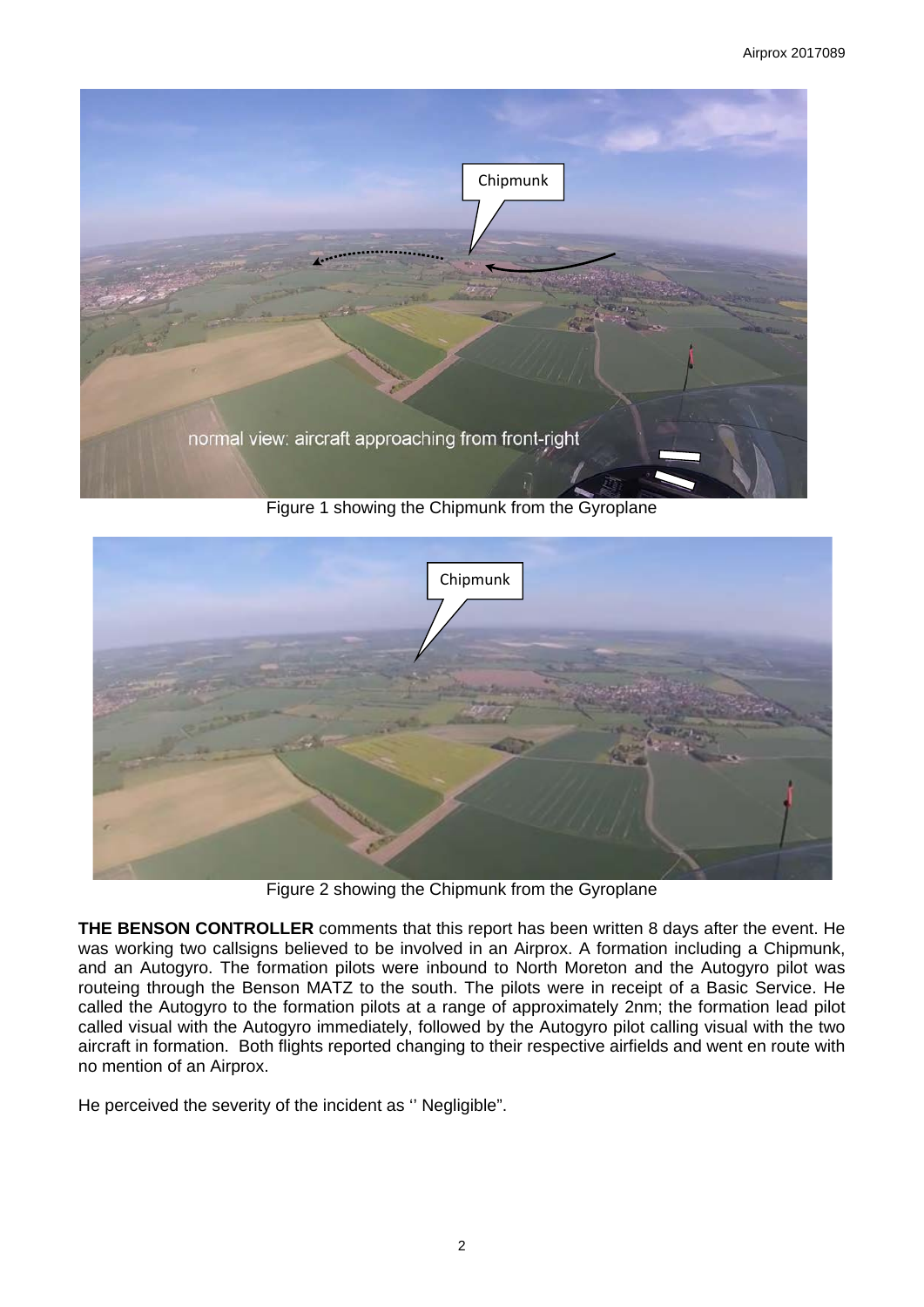

Figure 1 showing the Chipmunk from the Gyroplane



Figure 2 showing the Chipmunk from the Gyroplane

**THE BENSON CONTROLLER** comments that this report has been written 8 days after the event. He was working two callsigns believed to be involved in an Airprox. A formation including a Chipmunk, and an Autogyro. The formation pilots were inbound to North Moreton and the Autogyro pilot was routeing through the Benson MATZ to the south. The pilots were in receipt of a Basic Service. He called the Autogyro to the formation pilots at a range of approximately 2nm; the formation lead pilot called visual with the Autogyro immediately, followed by the Autogyro pilot calling visual with the two aircraft in formation. Both flights reported changing to their respective airfields and went en route with no mention of an Airprox.

He perceived the severity of the incident as '' Negligible".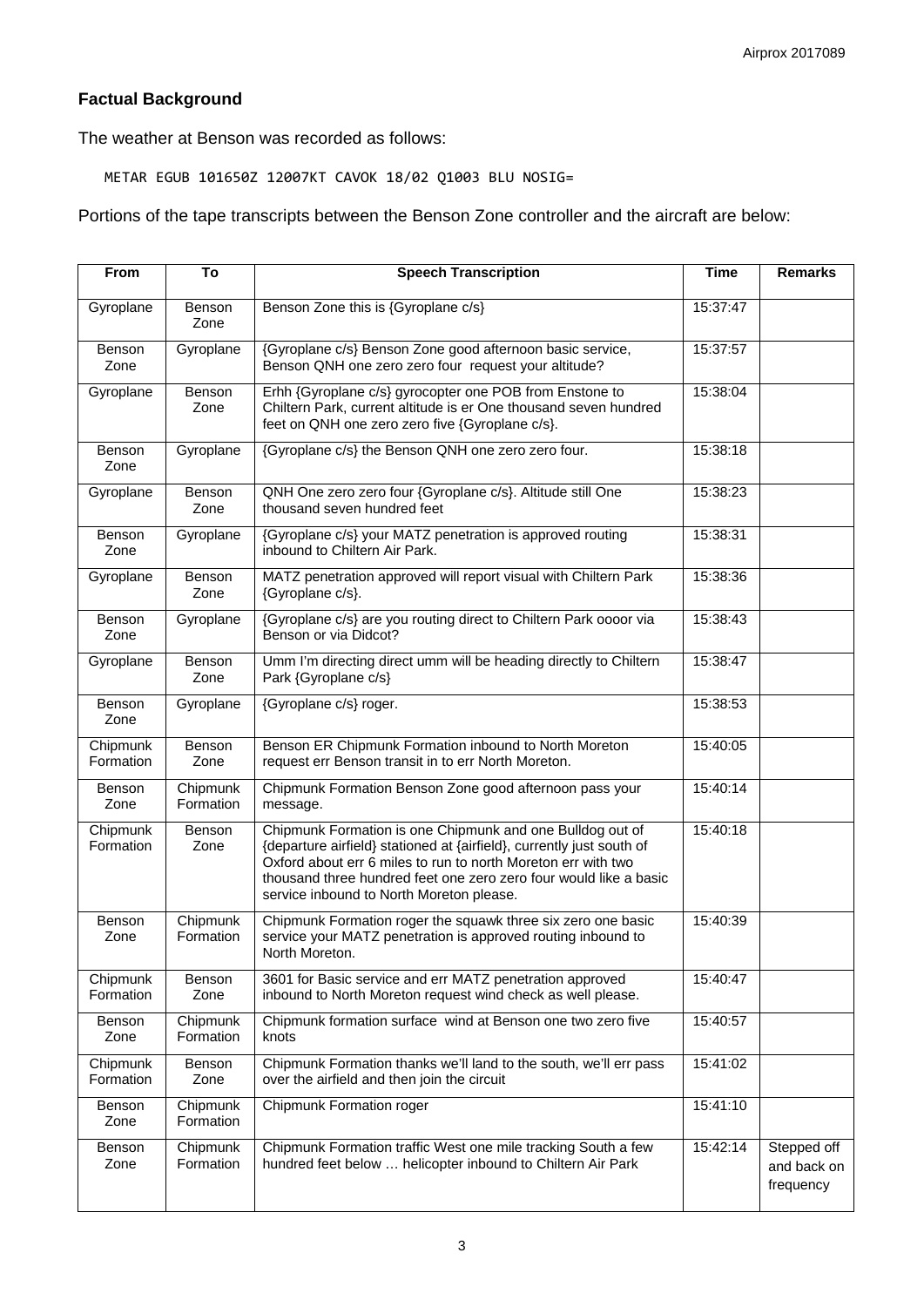# **Factual Background**

The weather at Benson was recorded as follows:

METAR EGUB 101650Z 12007KT CAVOK 18/02 Q1003 BLU NOSIG=

## Portions of the tape transcripts between the Benson Zone controller and the aircraft are below:

| From                  | To                    | <b>Speech Transcription</b>                                                                                                                                                                                                                                                                                          | <b>Time</b> | <b>Remarks</b>                          |
|-----------------------|-----------------------|----------------------------------------------------------------------------------------------------------------------------------------------------------------------------------------------------------------------------------------------------------------------------------------------------------------------|-------------|-----------------------------------------|
| Gyroplane             | Benson<br>Zone        | Benson Zone this is {Gyroplane c/s}                                                                                                                                                                                                                                                                                  | 15:37:47    |                                         |
| Benson<br>Zone        | Gyroplane             | {Gyroplane c/s} Benson Zone good afternoon basic service,<br>Benson QNH one zero zero four request your altitude?                                                                                                                                                                                                    | 15:37:57    |                                         |
| Gyroplane             | Benson<br>Zone        | Erhh {Gyroplane c/s} gyrocopter one POB from Enstone to<br>Chiltern Park, current altitude is er One thousand seven hundred<br>feet on QNH one zero zero five {Gyroplane c/s}.                                                                                                                                       | 15:38:04    |                                         |
| Benson<br>Zone        | Gyroplane             | {Gyroplane c/s} the Benson QNH one zero zero four.                                                                                                                                                                                                                                                                   | 15:38:18    |                                         |
| Gyroplane             | Benson<br>Zone        | QNH One zero zero four {Gyroplane c/s}. Altitude still One<br>thousand seven hundred feet                                                                                                                                                                                                                            | 15:38:23    |                                         |
| Benson<br>Zone        | Gyroplane             | {Gyroplane c/s} your MATZ penetration is approved routing<br>inbound to Chiltern Air Park.                                                                                                                                                                                                                           | 15:38:31    |                                         |
| Gyroplane             | Benson<br>Zone        | MATZ penetration approved will report visual with Chiltern Park<br>{Gyroplane c/s}.                                                                                                                                                                                                                                  | 15:38:36    |                                         |
| Benson<br>Zone        | Gyroplane             | {Gyroplane c/s} are you routing direct to Chiltern Park oooor via<br>Benson or via Didcot?                                                                                                                                                                                                                           | 15:38:43    |                                         |
| Gyroplane             | Benson<br>Zone        | Umm I'm directing direct umm will be heading directly to Chiltern<br>Park {Gyroplane c/s}                                                                                                                                                                                                                            | 15:38:47    |                                         |
| Benson<br>Zone        | Gyroplane             | {Gyroplane c/s} roger.                                                                                                                                                                                                                                                                                               | 15:38:53    |                                         |
| Chipmunk<br>Formation | Benson<br>Zone        | Benson ER Chipmunk Formation inbound to North Moreton<br>request err Benson transit in to err North Moreton.                                                                                                                                                                                                         | 15:40:05    |                                         |
| Benson<br>Zone        | Chipmunk<br>Formation | Chipmunk Formation Benson Zone good afternoon pass your<br>message.                                                                                                                                                                                                                                                  | 15:40:14    |                                         |
| Chipmunk<br>Formation | Benson<br>Zone        | Chipmunk Formation is one Chipmunk and one Bulldog out of<br>{departure airfield} stationed at {airfield}, currently just south of<br>Oxford about err 6 miles to run to north Moreton err with two<br>thousand three hundred feet one zero zero four would like a basic<br>service inbound to North Moreton please. | 15:40:18    |                                         |
| Benson<br>Zone        | Chipmunk<br>Formation | Chipmunk Formation roger the squawk three six zero one basic<br>service your MATZ penetration is approved routing inbound to<br>North Moreton.                                                                                                                                                                       | 15:40:39    |                                         |
| Chipmunk<br>Formation | Benson<br>Zone        | 3601 for Basic service and err MATZ penetration approved<br>inbound to North Moreton request wind check as well please.                                                                                                                                                                                              | 15:40:47    |                                         |
| Benson<br>Zone        | Chipmunk<br>Formation | Chipmunk formation surface wind at Benson one two zero five<br>knots                                                                                                                                                                                                                                                 | 15:40:57    |                                         |
| Chipmunk<br>Formation | Benson<br>Zone        | Chipmunk Formation thanks we'll land to the south, we'll err pass<br>over the airfield and then join the circuit                                                                                                                                                                                                     | 15:41:02    |                                         |
| Benson<br>Zone        | Chipmunk<br>Formation | Chipmunk Formation roger                                                                                                                                                                                                                                                                                             | 15:41:10    |                                         |
| Benson<br>Zone        | Chipmunk<br>Formation | Chipmunk Formation traffic West one mile tracking South a few<br>hundred feet below  helicopter inbound to Chiltern Air Park                                                                                                                                                                                         | 15:42:14    | Stepped off<br>and back on<br>frequency |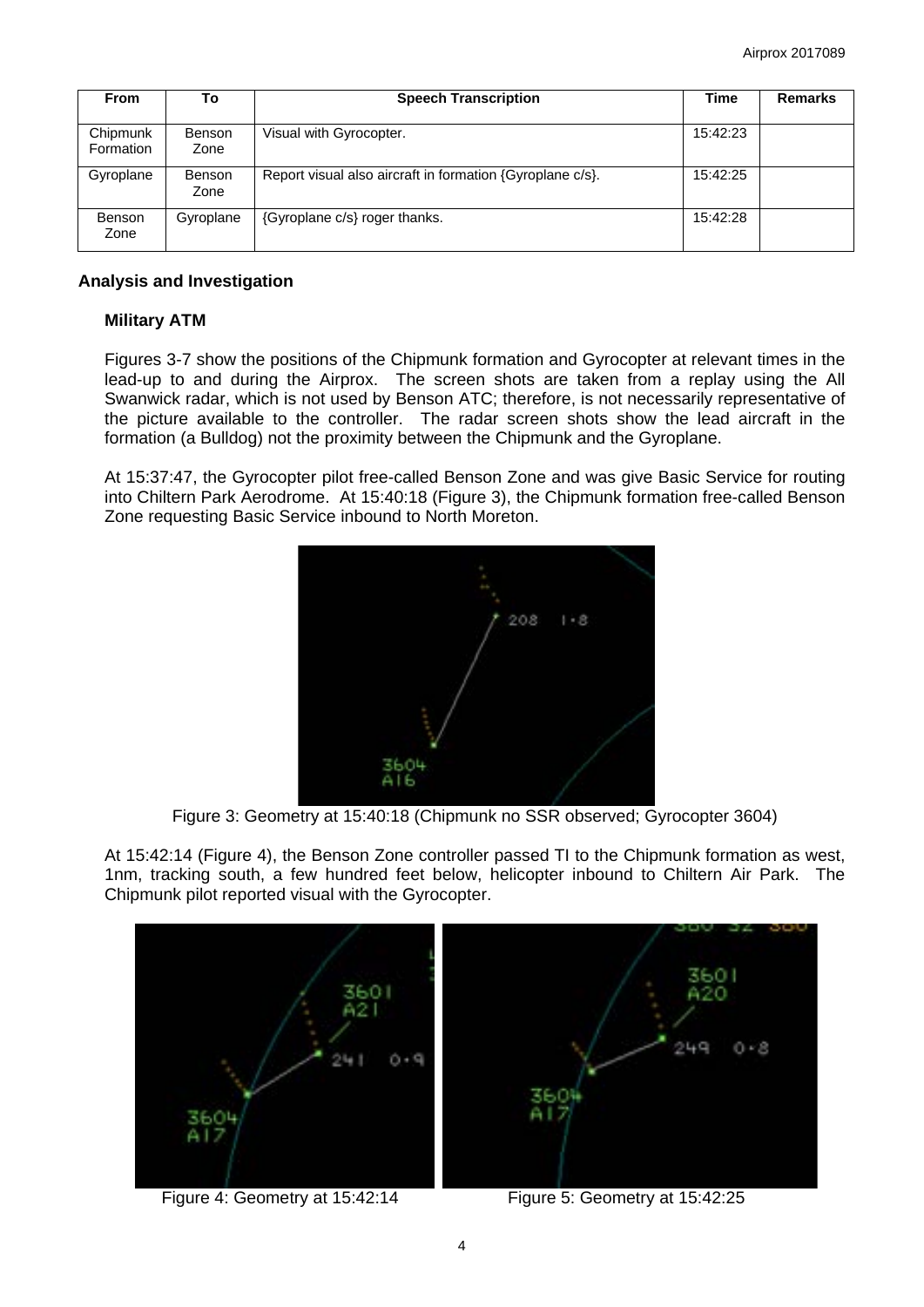| <b>From</b>           | To                    | <b>Speech Transcription</b>                               | Time     | <b>Remarks</b> |
|-----------------------|-----------------------|-----------------------------------------------------------|----------|----------------|
| Chipmunk<br>Formation | <b>Benson</b><br>Zone | Visual with Gyrocopter.                                   | 15:42:23 |                |
| Gyroplane             | <b>Benson</b><br>Zone | Report visual also aircraft in formation {Gyroplane c/s}. | 15:42:25 |                |
| Benson<br>Zone        | Gyroplane             | {Gyroplane c/s} roger thanks.                             | 15:42:28 |                |

### **Analysis and Investigation**

## **Military ATM**

Figures 3-7 show the positions of the Chipmunk formation and Gyrocopter at relevant times in the lead-up to and during the Airprox. The screen shots are taken from a replay using the All Swanwick radar, which is not used by Benson ATC; therefore, is not necessarily representative of the picture available to the controller. The radar screen shots show the lead aircraft in the formation (a Bulldog) not the proximity between the Chipmunk and the Gyroplane.

At 15:37:47, the Gyrocopter pilot free-called Benson Zone and was give Basic Service for routing into Chiltern Park Aerodrome. At 15:40:18 (Figure 3), the Chipmunk formation free-called Benson Zone requesting Basic Service inbound to North Moreton.



Figure 3: Geometry at 15:40:18 (Chipmunk no SSR observed; Gyrocopter 3604)

At 15:42:14 (Figure 4), the Benson Zone controller passed TI to the Chipmunk formation as west, 1nm, tracking south, a few hundred feet below, helicopter inbound to Chiltern Air Park. The Chipmunk pilot reported visual with the Gyrocopter.



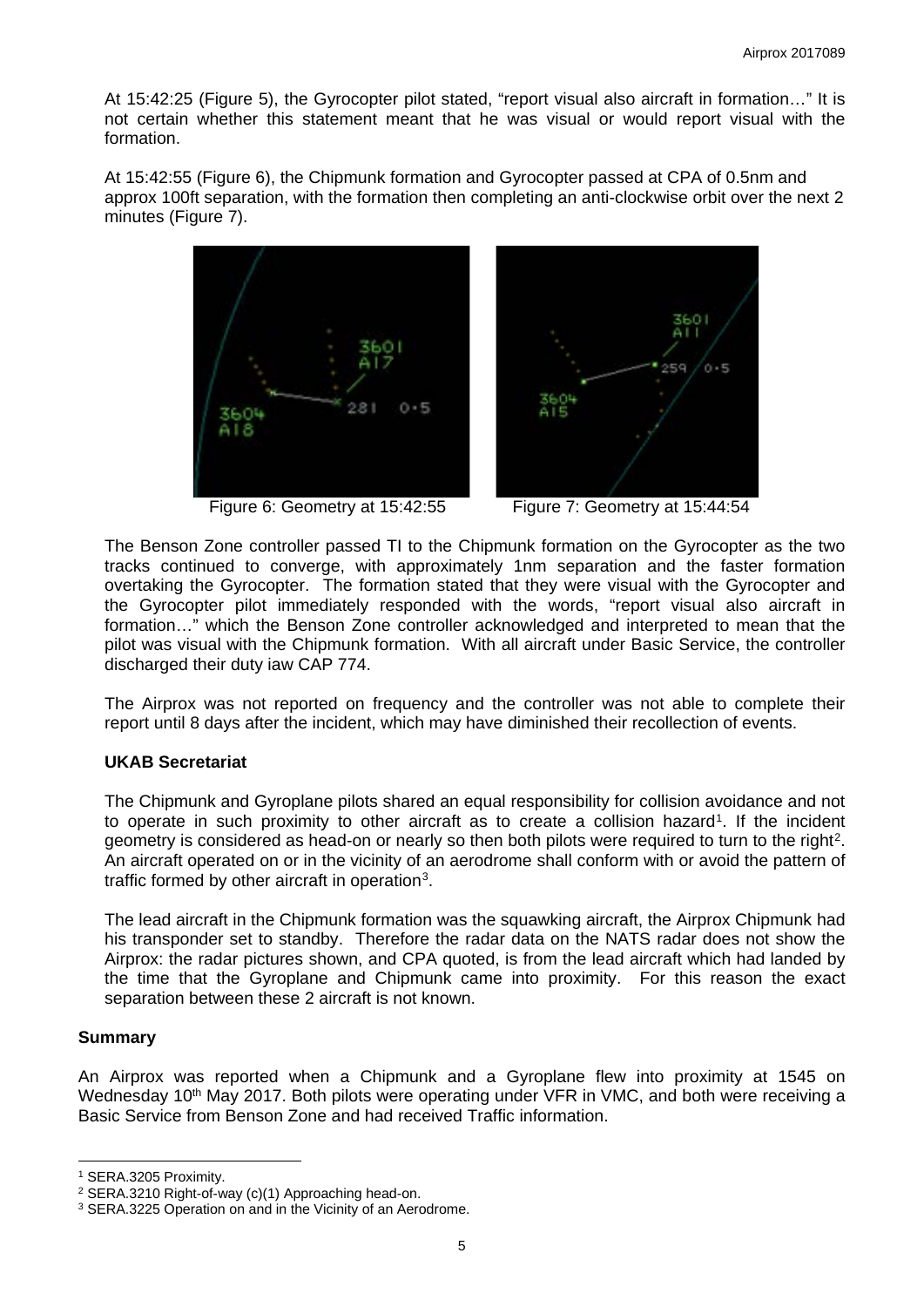At 15:42:25 (Figure 5), the Gyrocopter pilot stated, "report visual also aircraft in formation…" It is not certain whether this statement meant that he was visual or would report visual with the formation.

At 15:42:55 (Figure 6), the Chipmunk formation and Gyrocopter passed at CPA of 0.5nm and approx 100ft separation, with the formation then completing an anti-clockwise orbit over the next 2 minutes (Figure 7).



Figure 6: Geometry at 15:42:55 Figure 7: Geometry at 15:44:54



The Benson Zone controller passed TI to the Chipmunk formation on the Gyrocopter as the two tracks continued to converge, with approximately 1nm separation and the faster formation overtaking the Gyrocopter. The formation stated that they were visual with the Gyrocopter and the Gyrocopter pilot immediately responded with the words, "report visual also aircraft in formation…" which the Benson Zone controller acknowledged and interpreted to mean that the pilot was visual with the Chipmunk formation. With all aircraft under Basic Service, the controller discharged their duty iaw CAP 774.

The Airprox was not reported on frequency and the controller was not able to complete their report until 8 days after the incident, which may have diminished their recollection of events.

#### **UKAB Secretariat**

The Chipmunk and Gyroplane pilots shared an equal responsibility for collision avoidance and not to operate in such proximity to other aircraft as to create a collision hazard<sup>[1](#page-4-0)</sup>. If the incident geometry is considered as head-on or nearly so then both pilots were required to turn to the right<sup>2</sup>. An aircraft operated on or in the vicinity of an aerodrome shall conform with or avoid the pattern of traffic formed by other aircraft in operation[3](#page-4-2).

The lead aircraft in the Chipmunk formation was the squawking aircraft, the Airprox Chipmunk had his transponder set to standby. Therefore the radar data on the NATS radar does not show the Airprox: the radar pictures shown, and CPA quoted, is from the lead aircraft which had landed by the time that the Gyroplane and Chipmunk came into proximity. For this reason the exact separation between these 2 aircraft is not known.

#### **Summary**

 $\overline{a}$ 

An Airprox was reported when a Chipmunk and a Gyroplane flew into proximity at 1545 on Wednesday 10<sup>th</sup> May 2017. Both pilots were operating under VFR in VMC, and both were receiving a Basic Service from Benson Zone and had received Traffic information.

<span id="page-4-0"></span><sup>1</sup> SERA.3205 Proximity.

<span id="page-4-1"></span><sup>2</sup> SERA.3210 Right-of-way (c)(1) Approaching head-on.

<span id="page-4-2"></span><sup>&</sup>lt;sup>3</sup> SERA.3225 Operation on and in the Vicinity of an Aerodrome.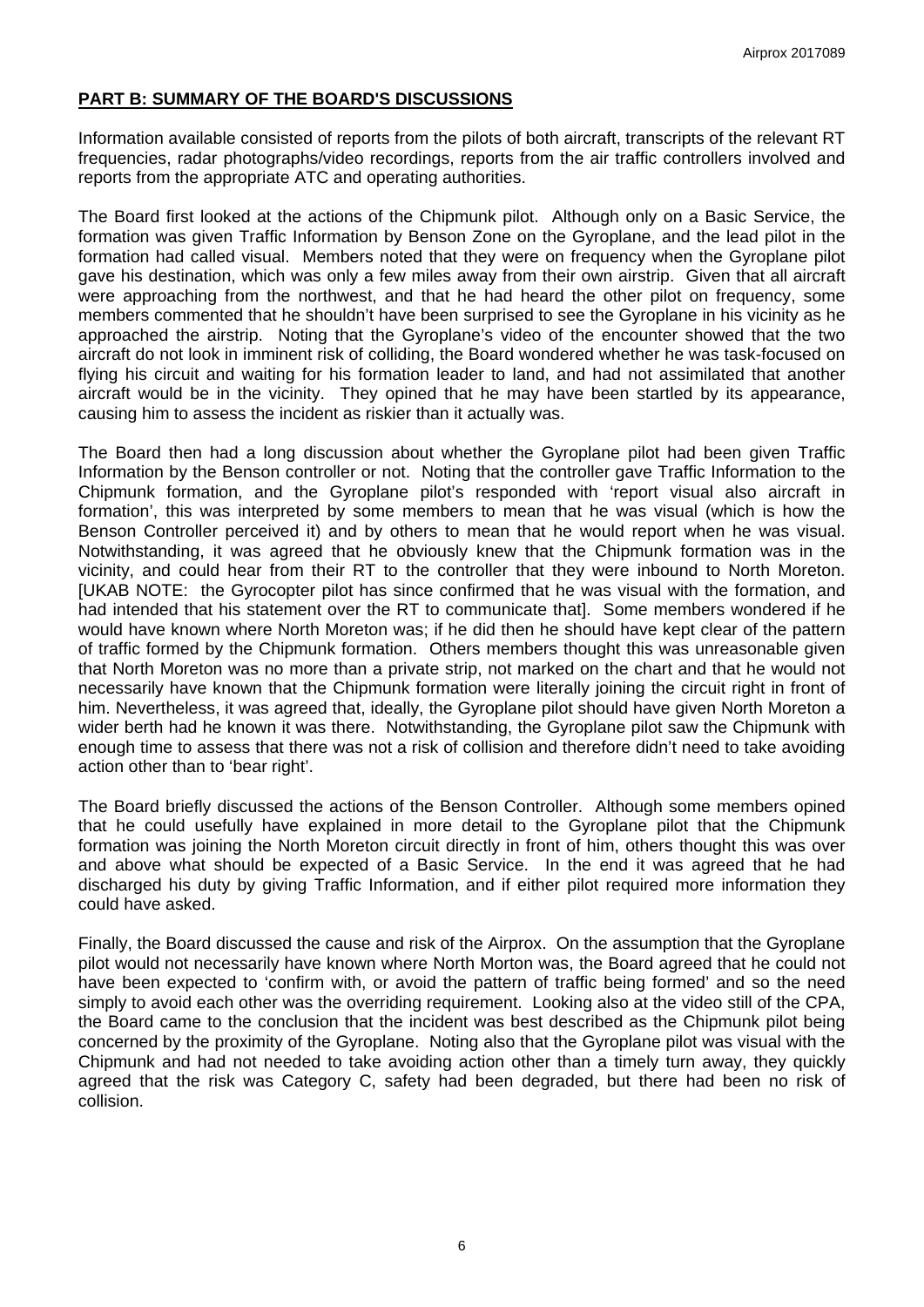## **PART B: SUMMARY OF THE BOARD'S DISCUSSIONS**

Information available consisted of reports from the pilots of both aircraft, transcripts of the relevant RT frequencies, radar photographs/video recordings, reports from the air traffic controllers involved and reports from the appropriate ATC and operating authorities.

The Board first looked at the actions of the Chipmunk pilot. Although only on a Basic Service, the formation was given Traffic Information by Benson Zone on the Gyroplane, and the lead pilot in the formation had called visual. Members noted that they were on frequency when the Gyroplane pilot gave his destination, which was only a few miles away from their own airstrip. Given that all aircraft were approaching from the northwest, and that he had heard the other pilot on frequency, some members commented that he shouldn't have been surprised to see the Gyroplane in his vicinity as he approached the airstrip. Noting that the Gyroplane's video of the encounter showed that the two aircraft do not look in imminent risk of colliding, the Board wondered whether he was task-focused on flying his circuit and waiting for his formation leader to land, and had not assimilated that another aircraft would be in the vicinity. They opined that he may have been startled by its appearance, causing him to assess the incident as riskier than it actually was.

The Board then had a long discussion about whether the Gyroplane pilot had been given Traffic Information by the Benson controller or not. Noting that the controller gave Traffic Information to the Chipmunk formation, and the Gyroplane pilot's responded with 'report visual also aircraft in formation', this was interpreted by some members to mean that he was visual (which is how the Benson Controller perceived it) and by others to mean that he would report when he was visual. Notwithstanding, it was agreed that he obviously knew that the Chipmunk formation was in the vicinity, and could hear from their RT to the controller that they were inbound to North Moreton. [UKAB NOTE: the Gyrocopter pilot has since confirmed that he was visual with the formation, and had intended that his statement over the RT to communicate that]. Some members wondered if he would have known where North Moreton was; if he did then he should have kept clear of the pattern of traffic formed by the Chipmunk formation. Others members thought this was unreasonable given that North Moreton was no more than a private strip, not marked on the chart and that he would not necessarily have known that the Chipmunk formation were literally joining the circuit right in front of him. Nevertheless, it was agreed that, ideally, the Gyroplane pilot should have given North Moreton a wider berth had he known it was there. Notwithstanding, the Gyroplane pilot saw the Chipmunk with enough time to assess that there was not a risk of collision and therefore didn't need to take avoiding action other than to 'bear right'.

The Board briefly discussed the actions of the Benson Controller. Although some members opined that he could usefully have explained in more detail to the Gyroplane pilot that the Chipmunk formation was joining the North Moreton circuit directly in front of him, others thought this was over and above what should be expected of a Basic Service. In the end it was agreed that he had discharged his duty by giving Traffic Information, and if either pilot required more information they could have asked.

Finally, the Board discussed the cause and risk of the Airprox. On the assumption that the Gyroplane pilot would not necessarily have known where North Morton was, the Board agreed that he could not have been expected to 'confirm with, or avoid the pattern of traffic being formed' and so the need simply to avoid each other was the overriding requirement. Looking also at the video still of the CPA, the Board came to the conclusion that the incident was best described as the Chipmunk pilot being concerned by the proximity of the Gyroplane. Noting also that the Gyroplane pilot was visual with the Chipmunk and had not needed to take avoiding action other than a timely turn away, they quickly agreed that the risk was Category C, safety had been degraded, but there had been no risk of collision.